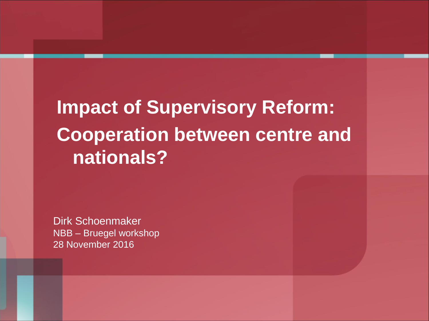**Impact of Supervisory Reform: Cooperation between centre and nationals?**

Dirk Schoenmaker NBB – Bruegel workshop 28 November 2016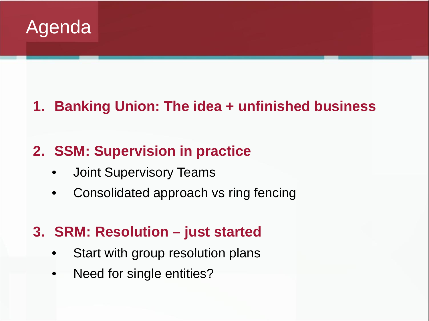

## **1. Banking Union: The idea + unfinished business**

### **2. SSM: Supervision in practice**

- Joint Supervisory Teams
- Consolidated approach vs ring fencing

### **3. SRM: Resolution – just started**

- Start with group resolution plans
- Need for single entities?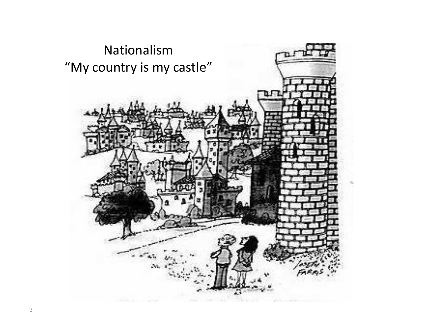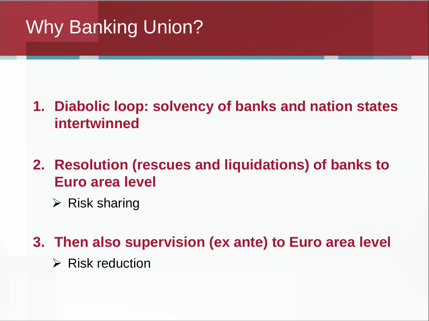# Why Banking Union?

- **1. Diabolic loop: solvency of banks and nation states intertwinned**
- **2. Resolution (rescues and liquidations) of banks to Euro area level**
	- $\triangleright$  Risk sharing

**3. Then also supervision (ex ante) to Euro area level**

 $\triangleright$  Risk reduction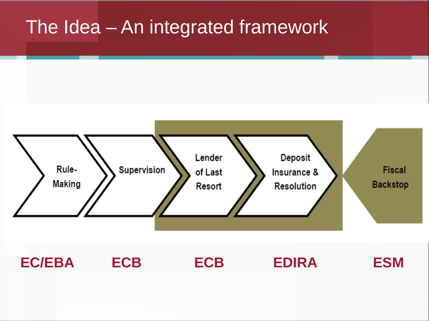## The Idea – An integrated framework



**EC/EBA ECB ECB EDIRA ESM**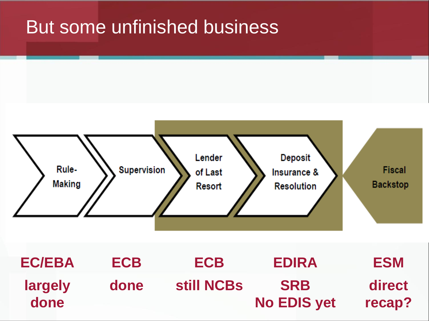# But some unfinished business



**EDIRA SRB No EDIS yet ECB done EC/EBA largely done ESM direct recap? ECB still NCBs**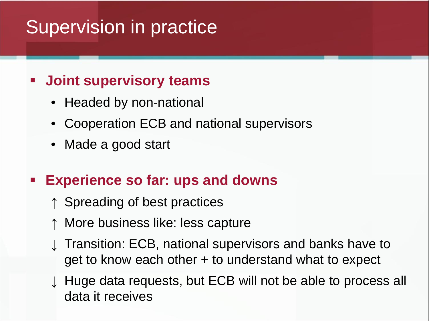# Supervision in practice

### **Joint supervisory teams**

- Headed by non-national
- Cooperation ECB and national supervisors
- Made a good start

## **Experience so far: ups and downs**

- ↑ Spreading of best practices
- More business like: less capture
- Transition: ECB, national supervisors and banks have to get to know each other + to understand what to expect
- ↓ Huge data requests, but ECB will not be able to process all data it receives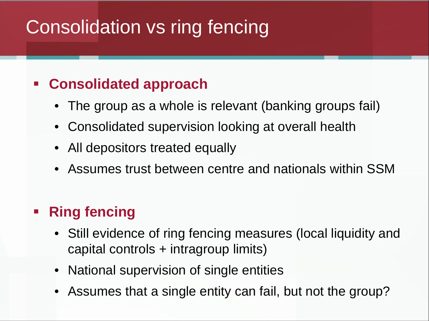# Consolidation vs ring fencing

### **Consolidated approach**

- The group as a whole is relevant (banking groups fail)
- Consolidated supervision looking at overall health
- All depositors treated equally
- Assumes trust between centre and nationals within SSM

#### **Ring fencing**

- Still evidence of ring fencing measures (local liquidity and capital controls + intragroup limits)
- National supervision of single entities
- Assumes that a single entity can fail, but not the group?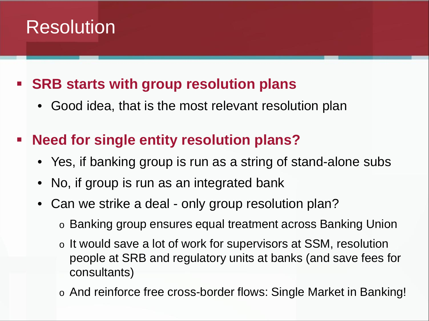# Resolution

### **SRB starts with group resolution plans**

• Good idea, that is the most relevant resolution plan

## **Need for single entity resolution plans?**

- Yes, if banking group is run as a string of stand-alone subs
- No, if group is run as an integrated bank
- Can we strike a deal only group resolution plan?
	- o Banking group ensures equal treatment across Banking Union
	- o It would save a lot of work for supervisors at SSM, resolution people at SRB and regulatory units at banks (and save fees for consultants)
	- o And reinforce free cross-border flows: Single Market in Banking!